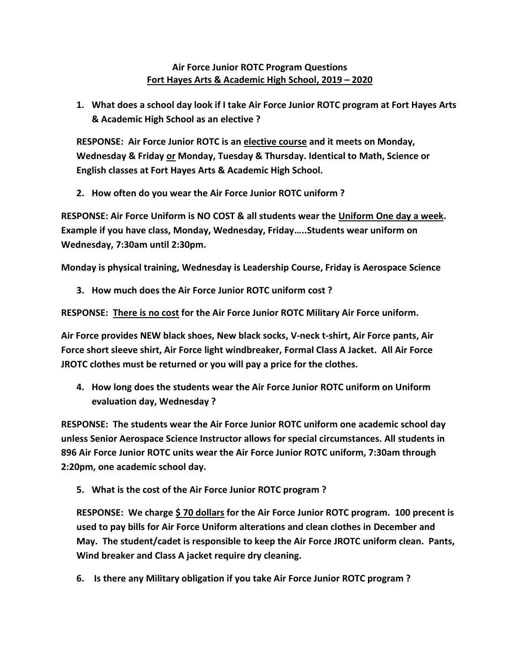## **Air Force Junior ROTC Program Questions Fort Hayes Arts & Academic High School, 2019 – 2020**

**1. What does a school day look if I take Air Force Junior ROTC program at Fort Hayes Arts & Academic High School as an elective ?**

**RESPONSE: Air Force Junior ROTC is an elective course and it meets on Monday, Wednesday & Friday or Monday, Tuesday & Thursday. Identical to Math, Science or English classes at Fort Hayes Arts & Academic High School.** 

**2. How often do you wear the Air Force Junior ROTC uniform ?**

**RESPONSE: Air Force Uniform is NO COST & all students wear the Uniform One day a week. Example if you have class, Monday, Wednesday, Friday…..Students wear uniform on Wednesday, 7:30am until 2:30pm.** 

**Monday is physical training, Wednesday is Leadership Course, Friday is Aerospace Science**

**3. How much does the Air Force Junior ROTC uniform cost ?**

**RESPONSE: There is no cost for the Air Force Junior ROTC Military Air Force uniform.** 

**Air Force provides NEW black shoes, New black socks, V-neck t-shirt, Air Force pants, Air Force short sleeve shirt, Air Force light windbreaker, Formal Class A Jacket. All Air Force JROTC clothes must be returned or you will pay a price for the clothes.** 

**4. How long does the students wear the Air Force Junior ROTC uniform on Uniform evaluation day, Wednesday ?**

**RESPONSE: The students wear the Air Force Junior ROTC uniform one academic school day unless Senior Aerospace Science Instructor allows for special circumstances. All students in 896 Air Force Junior ROTC units wear the Air Force Junior ROTC uniform, 7:30am through 2:20pm, one academic school day.** 

**5. What is the cost of the Air Force Junior ROTC program ?**

**RESPONSE: We charge \$ 70 dollars for the Air Force Junior ROTC program. 100 precent is used to pay bills for Air Force Uniform alterations and clean clothes in December and May. The student/cadet is responsible to keep the Air Force JROTC uniform clean. Pants, Wind breaker and Class A jacket require dry cleaning.** 

**6. Is there any Military obligation if you take Air Force Junior ROTC program ?**